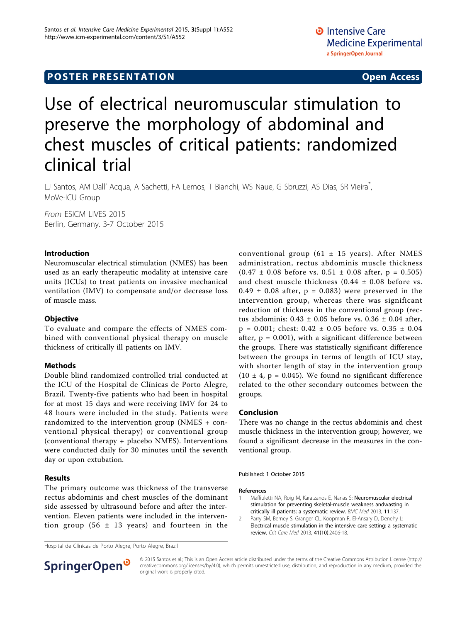## **POSTER PRESENTATION CONSUMING ACCESS**

# Use of electrical neuromuscular stimulation to preserve the morphology of abdominal and chest muscles of critical patients: randomized clinical trial

LJ Santos, AM Dall' Acqua, A Sachetti, FA Lemos, T Bianchi, WS Naue, G Sbruzzi, AS Dias, SR Vieira<sup>\*</sup>, , MoVe-ICU Group

From ESICM LIVES 2015 Berlin, Germany. 3-7 October 2015

#### Introduction

Neuromuscular electrical stimulation (NMES) has been used as an early therapeutic modality at intensive care units (ICUs) to treat patients on invasive mechanical ventilation (IMV) to compensate and/or decrease loss of muscle mass.

#### **Objective**

To evaluate and compare the effects of NMES combined with conventional physical therapy on muscle thickness of critically ill patients on IMV.

#### **Methods**

Double blind randomized controlled trial conducted at the ICU of the Hospital de Clínicas de Porto Alegre, Brazil. Twenty-five patients who had been in hospital for at most 15 days and were receiving IMV for 24 to 48 hours were included in the study. Patients were randomized to the intervention group (NMES + conventional physical therapy) or conventional group (conventional therapy + placebo NMES). Interventions were conducted daily for 30 minutes until the seventh day or upon extubation.

### Results

The primary outcome was thickness of the transverse rectus abdominis and chest muscles of the dominant side assessed by ultrasound before and after the intervention. Eleven patients were included in the intervention group (56  $\pm$  13 years) and fourteen in the

conventional group (61  $\pm$  15 years). After NMES administration, rectus abdominis muscle thickness  $(0.47 \pm 0.08)$  before vs.  $0.51 \pm 0.08$  after,  $p = 0.505$ ) and chest muscle thickness (0.44 ± 0.08 before vs.  $0.49 \pm 0.08$  after,  $p = 0.083$ ) were preserved in the intervention group, whereas there was significant reduction of thickness in the conventional group (rectus abdominis:  $0.43 \pm 0.05$  before vs.  $0.36 \pm 0.04$  after,  $p = 0.001$ ; chest:  $0.42 \pm 0.05$  before vs.  $0.35 \pm 0.04$ after,  $p = 0.001$ ), with a significant difference between the groups. There was statistically significant difference between the groups in terms of length of ICU stay, with shorter length of stay in the intervention group  $(10 \pm 4, p = 0.045)$ . We found no significant difference related to the other secondary outcomes between the groups.

#### Conclusion

There was no change in the rectus abdominis and chest muscle thickness in the intervention group; however, we found a significant decrease in the measures in the conventional group.

Published: 1 October 2015

#### References

- 1. Maffiuletti NA, Roig M, Karatzanos E, Nanas S: [Neuromuscular electrical](http://www.ncbi.nlm.nih.gov/pubmed/23701811?dopt=Abstract) [stimulation for preventing skeletal-muscle weakness andwasting in](http://www.ncbi.nlm.nih.gov/pubmed/23701811?dopt=Abstract) [critically ill patients: a systematic review.](http://www.ncbi.nlm.nih.gov/pubmed/23701811?dopt=Abstract) BMC Med 2013, 11:137.
- 2. Parry SM, Berney S, Granger CL, Koopman R, El-Ansary D, Denehy L: [Electrical muscle stimulation in the intensive care setting: a systematic](http://www.ncbi.nlm.nih.gov/pubmed/23921276?dopt=Abstract) [review.](http://www.ncbi.nlm.nih.gov/pubmed/23921276?dopt=Abstract) Crit Care Med 2013, 41(10):2406-18.



© 2015 Santos et al.; This is an Open Access article distributed under the terms of the Creative Commons Attribution License [\(http://](http://creativecommons.org/licenses/by/4.0) [creativecommons.org/licenses/by/4.0](http://creativecommons.org/licenses/by/4.0)), which permits unrestricted use, distribution, and reproduction in any medium, provided the original work is properly cited.

Hospital de Clínicas de Porto Alegre, Porto Alegre, Brazil